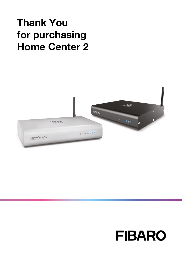# Thank You for purchasing Home Center 2



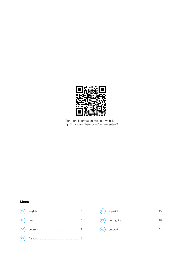

For more information, visit our website:<br>http://manuals.fibaro.com/home-center-2

# Menu in 1911.

| $\begin{picture}(180,10) \put(0,0){\vector(1,0){100}} \put(15,0){\vector(1,0){100}} \put(15,0){\vector(1,0){100}} \put(15,0){\vector(1,0){100}} \put(15,0){\vector(1,0){100}} \put(15,0){\vector(1,0){100}} \put(15,0){\vector(1,0){100}} \put(15,0){\vector(1,0){100}} \put(15,0){\vector(1,0){100}} \put(15,0){\vector(1,0){100}} \put(15,0){\vector(1,0){100}}$  |
|---------------------------------------------------------------------------------------------------------------------------------------------------------------------------------------------------------------------------------------------------------------------------------------------------------------------------------------------------------------------|
| $\begin{picture}(18,10) \put(0,0){\vector(1,0){100}} \put(15,0){\vector(1,0){100}} \put(15,0){\vector(1,0){100}} \put(15,0){\vector(1,0){100}} \put(15,0){\vector(1,0){100}} \put(15,0){\vector(1,0){100}} \put(15,0){\vector(1,0){100}} \put(15,0){\vector(1,0){100}} \put(15,0){\vector(1,0){100}} \put(15,0){\vector(1,0){100}} \put(15,0){\vector(1,0){100}} \$ |
|                                                                                                                                                                                                                                                                                                                                                                     |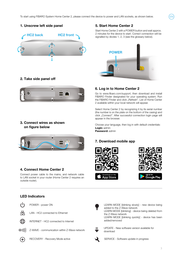

# 2. Take side panel off



# 3. Connect wires as shown on figure below



# 4. Connect Home Center 2

Connect power cable to the mains, and network cable to LAN socket in your router (Home Center 2 requires an outside router).

# LED Indicators



몼

LAN - HC2 connected to Ethernet INTERNET - HC2 connected to Internet



 $\circledR$ Z-WAVE - communication within Z-Wave network



RECOVERY - Recovery Mode active

# 5. Start Home Center 2

Start Home Center 2 with a POWER button and wait approx. 2 minutes for the device to start. Correct connection will be signalled by diodes 1, 2, 3 (see the glossary below).

.<br>EN



# 6. Log in to Home Center 2

Go to www.fibaro.com/support, then download and install FIBARO Finder designated for your operating system. Run the FIBARO Finder and click "Refresh". List of Home Center 2 available within your local network will appear.

Select Home Center 2 by recognizing it by its serial number (the number is on the plate on the bottom of the casing) and click "Connect". After successful connection login page will appear in the browser.

Choose your language, then log in with default credentials: Login: admin Password: admin

# 7. Download mobile app







LEARN MODE [blinking slowly] - new device being added to the Z-Wave network

LEARN MODE [blinking] - device being deleted from the Z-Wave network

LEARN MODE [blinking quickly] - device has been added/removed



UPDATE - New software version available for download

SERVICE - Software update in progress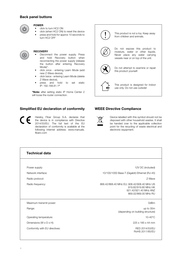### Back panel buttons



# POWER

- click to turn HC2 ON
- click (when HC2 ON) to reset the device<br>• press and hold for approx 10 seconds to • press and hold for approx 10 seconds to
- turn HC<sub>2</sub> OFF



#### **RECOVERY**

- Disconnect the power supply. Press and hold Recovery button when reconnecting the power supply (release the button after entering Recovery Mode)\*.
- click once entering Learn Mode (add new Z-Wave device),
- click twice entering Learn Mode (delete Z-Wave device),
- press and hold to set static IP: 192.168.81.1\*

\*Note: after setting static IP Home Center 2 will loose the router connection.

# Simplified EU declaration of conformity

Hereby, Fibar Group S.A. declares that the device is in compliance with Directive 2014/53/EU. The full text of the EU declaration of conformity is available at the following internet address: www.manuals. fibaro.com



use only. Do not use outside!

### WEEE Directive Compliance



Device labelled with this symbol should not be disposed with other household wastes. It shall be handed over to the applicable collection point for the recycling of waste electrical and electronic equipment.

| <b>Technical data</b>                |                                                                                                                     |
|--------------------------------------|---------------------------------------------------------------------------------------------------------------------|
|                                      |                                                                                                                     |
| Power supply:                        | 12V DC (included)                                                                                                   |
| Network interface:                   | 10/100/1000 Base-T (Gigabit) Ethernet (RJ-45)                                                                       |
| Radio protocol:                      | 7-Wave                                                                                                              |
| Radio frequency:                     | 868.42/868.40 MHz EU; 908.42/908.40 MHz US<br>919.82/919.80 MHz HK<br>921.42/921.40 MHz ANZ<br>869.02/869.00 MHz RU |
| Maximum transmit power:              | 0 <sub>dBm</sub>                                                                                                    |
| Range:                               | up to 30m<br>(depending on building structure)                                                                      |
| Operating temperature:               | $10-40^{\circ}$ C                                                                                                   |
| Dimensions $(W \times D \times H)$ : | 225 x 185 x 44 mm                                                                                                   |
| Conformity with EU directives:       | RFD 2014/53/FU<br>RoHS 2011/65/FU                                                                                   |
|                                      |                                                                                                                     |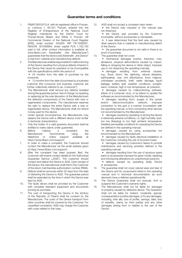### Guarantee terms and conditions

- 1. FIBAR GROUP S.A. with its registered office in Poznan, ul. Lotnicza 1, 60-421 Poznań, entered into the Register of Entrepreneurs of the National Court Register maintained by the District Court for Poznań-Nowe Miasto and Wilda in Poznań, VIII Commercial Division of the National Court Register (KRS) under number: 553265, NIP 7811858097, REGON: 301595664, share capital PLN 1,182,100 paid in full, other contact information is available at: www.fibaro.com (hereinafter "the Manufacturer") guarantees that the device sold (hereinaftr: "the Device" is free from material and manufacturing defects.
- 2. The Manufacturer shall be responsible for malfunctioning of the Device resulting from physical defects inherent in the Device that cause its operation to be incompatible with the specifications within the period of:

• 24 months from the date of purchase by the consumer,

• 12 months from the date of purchase by a business customer (the consumer and business customer are further collectively referred to as "Customer").

- 3. The Manufacturer shall remove any defects revealed during the guarantee period, free of charge, by repairing or replacing (at the sole discretion of the Manufacturer) the defective components of the Device with new or regenerated components. The manufacturer reserves the right to replace the entire Device with a new or regenerated device. The Manufacturer shall not refund money paid for the device.
- 4. Under special circumstances, the Manufacturer may replace the Device with a different device most similar in technical characteristics.
- 5. Only the holder of a valid guaranty document shall be entitled to make claims under guarantee.<br>Before making a comple
- 6. Before making a complaint, the Manufacturer recommends using the telephone or online support available at https://www.fibaro.com/support/.
- 7. In order to make a complaint, the Customer should contact the Manufacturer via the email address given at https://www.fibaro.com/support/.
- 8. After the complaint has been properly filed, the Customer will receive contact details for the Authorized Guarantee Service ("AGS"). The customer should contact and deliver the Device to AGS. Upon receipt of the Device, the manufacturer shall inform the Customer of the return merchandise authorization number (RMA).
- 9. Defects shall be removed within 30 days from the date of delivering the Device to AGS. The guarantee period shall be extended by the time in which the Device was kept by AGS.
- 10. The faulty device shall be provided by the Customer with complete standard equipment and documents proving its purchase.
- 11. The cost of transporting the Device in the territory of the Republic of Poland shall be covered by the Manufacturer. The costs of the Device transport from other countries shall be covered by the Customer. For unjustified complaints, AGS may charge the Customer with costs related to the case.

12. AGS shall not accept a complaint claim when:

• the Device was misused or the manual was not observed,

• the Device was provided by the Customer incomplete, without accessories or nameplate,

• it was determined that the fault was caused by other reasons than a material or manufacturing defect of the Device

• the guarantee document is not valid or there is no proof of purchase,

13. The guarantee shall not cover:

• mechanical damages (cracks, fractures, cuts, abrasions, physical deformations caused by impact, falling or dropping the device or other object, improper use or not observing the operating manual);

• damages resulting from external causes, e.g.: flood, storm, fire, lightning, natural disasters, earthquakes, war, civil disturbance, force majeure, unforeseen accidents, theft, water damage, liquid leakage, battery spill, weather conditions, sunlight, sand, moisture, high or low temperature, air pollution;

• damages caused by malfunctioning software, attack of a computer virus, or by failure to update the software as recommended by the Manufacturer;

• damages resulting from: surges in the power<br>and/or telecommunication network improper and/or telecommunication network, connection to the grid in a manner inconsistent with the operating manual, or from connecting other devices not recommended by the Manufacturer.

• damages caused by operating or storing the device in extremely adverse conditions, i.e. high humidity, dust, too low (freezing) or too high ambient temperature. Detailed permissible conditions for operating the Device are defined in the operating manual;

• damages caused by using accessories not recommended by the Manufacturer

• damages caused by faulty electrical installation of the Customer, including the use of incorrect fuses;

• damages caused by Customer's failure to provide maintenance and servicing activities defined in the operating manual;

• damages resulting from the use of spurious spare parts or accessories improper for given model, repairing and introducing alterations by unauthorized persons;

• defects caused by operating faulty Device or accessories.

- 14. The guarantee shall not cover natural wear and tear of the Device and its components listed in the operating manual and in technical documentation as such elements have a defined operational life.
- 15. The Device Guarantee shall not exclude, limit or suspend the Customer's warranty rights.
- 16. The Manufacturer shall not be liable for damages to property caused by defective device. The Guarantor shall not be liable for indirect, incidental, special, consequential or punitive damages, or for any damages, including, inter alia, loss of profits, savings, data, loss of benefits, claims by third parties and any other damages arising from or related to the use of the Device.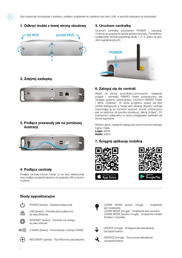### 1. Odkręć śrubki z lewej strony obudowy



# 2. Zdejmij zaślepkę

.<br>PL



### 3. Podłącz przewody jak na poniższej ilustracii



### 4. Podłącz centralę

Podłącz centralę (Home Center 2) do sieci elektrycznej oraz podłącz przewód sieciowy do gniazda LAN w swoim routerze.

# 5. Uruchom centralkę

Uruchom centralkę przyciskiem POWER i odczekaj 2 minuty aż urządzenie będzie gotowe do pracy. Prawidłowe podłączenie centrali sygnalizują diody 1, 2 i 3 (patrz na spis diód sygnalizacyjnych).



# 6. Zaloguj się do centrali

Wejdź na stronę www.fibaro.com/support, następnie ściągnij i zainstaluj FIBARO Finder przeznaczony dla Twojego systemu operacyjnego. Uruchom FIBARO Finder i kliknij "Odśwież". W oknie programu pojawi się lista central dostępnych w Twojej sieci lokalnej. Wybierz centralę rozpoznając ją po numerze seryjnym (numer umieszczony jest na tabliczce na spodzie obudowy) i kliknij "Połącz". Po poprawnym połączeniu w oknie przeglądarki wyświetli się strona logowania.

Wybierz język, następnie zaloguj się za pomocą domyślnego loginu i hasła: Login: admin Hasło: admin

# 7. Ściągnij aplikację mobilną





### Diody sygnalizacyjne

do sieci Internet

داء POWER [świeci] - Zasilanie [włączone]



LAN [świeci] - Centrala jest podłączona



do sieci Ethernet INTERNET [świeci] - Centrala ma dostęp



Z-WAVE [świeci] - Komunikacja z siecią Z-WAVE



RECOVERY [świeci] - Tryb Recovery jest aktywny



LEARN MODE [wolno mruga] - Urządzenie jest dodawane

LEARN MODE [mruga] - Urządzenie jest usuwane LEARN MODE [szybko mruga] - Urządzenie zostało Dodane / Usuniete



UPDATE [mruga] - Dostępna jest aktualizacja oprogramowania

SERVICE [mruga] - Trwa proces aktualizacji oprogramowania.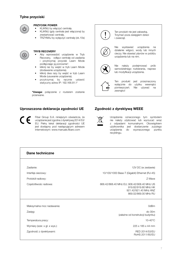# Tylne przyciski



# PRZYCISK POWER

- KLIKNIJ by włączyć centralę.<br>• KLIKNIJ (gdy centrale jest wł
- KLIKNIJ (gdy centrala jest włączona) by zrestartować centralę.
- TRZYMAJ by wyłączyć centralę (ok.10s)



#### TRYB RECOVERY

- Aby wprowadzić urządzenie w Tryb Recovery, odłącz centralę od zasilania i przytrzymaj przycisk Learn Mode podłączając ją ponownie\*.
- kliknij raz by wejść w tryb Learn Mode (dodawanie urządzenia).
- kliknij dwa razy by wejść w tryb Learn Mode (usuwanie urządzenia).
- przytrzymaj by ręcznie ustawić statyczny adres IP: 192.168.81.1\*

\*Uwaga: połączenie z routerem zostanie przerwane.

# Uproszczona deklaracja zgodności UE

Fibar Group S.A. niniejszym oświadcza, że urządzenie jest zgodne z dyrektywą 2014/53/ EU. Pełny tekst deklaracji zgodności UE jest dostępny pod następującym adresem internetowym: www.manuals.fibaro.com



Ten produkt nie jest zabawką. Trzymać poza zasięgiem dzieci i zwierząt.



Nie wystawiać urządzenia na działanie wilgoci, wody lub innych cieczy. Nie stawiać płynów w pobliżu urządzenia lub na nim.



Nie należy podejmować prób samodzielnego rozbierania, napraw lub modyfikacji urządzenia.



Ten produkt jest przeznaczony wyłącznie do użytku wewnątrz pomieszczeń. Nie używać na zewnątrz!

# Zgodność z dyrektywą WEEE

Urządzenia oznaczonego tym symbolem nie należy utylizować lub wyrzucać wraz z odpadami komunalnymi. Obowiązkiem użytkownika jest dostarczenie zużytego urządzenia do wyznaczonego punktu recyklingu.

| Dane techniczne               |                                                                                                                     |
|-------------------------------|---------------------------------------------------------------------------------------------------------------------|
|                               |                                                                                                                     |
| Zasilanie:                    | 12V DC (w zestawie)                                                                                                 |
| Interfejs sieciowy:           | 10/100/1000 Base-T (Gigabit) Ethernet (RJ-45)                                                                       |
| Protokół radiowy:             | 7-Wave                                                                                                              |
| Częstotliwośc radiowa:        | 868.42/868.40 MHz EU; 908.42/908.40 MHz US<br>919.82/919.80 MHz HK<br>921.42/921.40 MHz ANZ<br>869.02/869.00 MHz RU |
| Maksymalna moc nadawania:     | 0 <sub>dBm</sub>                                                                                                    |
| Zasięg:                       | $do$ 30 $m$<br>(zależne od konstrukcji budynku)                                                                     |
| Temperatura pracy:            | $10-40^{\circ}$ C                                                                                                   |
| Wymiary (szer. x gł. x wys.): | 225 x 185 x 44 mm                                                                                                   |
| Zgodność z dyrektywami:       | RFD 2014/53/FU<br>RoHS 2011/65/FU                                                                                   |
|                               |                                                                                                                     |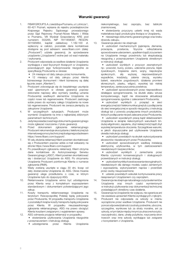- 1. FIBAR GROUP S.A. z siedzibą w Poznaniu, ul. Lotnicza 1, 60-421 Poznań, wpisana do rejestru przedsiębiorców Krajowego Rejestru Sądowego prowadzonego przez Sąd Rejonowy Poznań-Nowe Miasto i Wilda w Poznaniu, VIII Wydział Gospodarczy KRS pod numerem: 553265, NIP 7811858097, REGON: 301595664, kapitał zakładowy 1.182.100 zł, wpłacony w całości, pozostałe dane kontaktowe dostępne są pod adresem: www.fibaro.com (dalej: "Producent") udziela gwarancji, że sprzedawane urządzenie ("Urządzenie") wolne jest od wad materiału i wykonania.
- 2. Producent odpowiada za wadliwe działanie Urządzenia wynikające z wad fizycznych tkwiących w Urządzeniu powodujących jego funkcjonowanie niezgodne ze specyfikacją Producenta w okresie:
	- 24 miesiące od daty zakupu przez konsumenta,

• 12 miesięcy od daty zakupu przez klienta biznesowego (konsument i klient biznesowy są dalej łacznie zwani "Klientem").

- 3. Producent zobowiązuje się do bezpłatnego usunięcia wad ujawnionych w okresie gwarancji poprzez dokonanie naprawy albo wymiany (według uznania Producenta) wadliwych elementów Urządzenia na części nowe lub regenerowane. Producent zastrzega sobie prawo do wymiany całego Urządzenia na nowe lub regenerowane. Producent nie zwraca pieniędzy za zakupione Urządzenie.
- 4. W szczególnych sytuacjach, Producent może wymienić Urządzenie na inne o najbardziej zbliżonych parametrach technicznych.
- 5. Jedynie posiadacz ważnego dokumentu gwarancyjnego może zgłaszać roszczenia z tytułu gwarancji.
- 6. Przed dokonaniem zgłoszenia reklamacyjnego Producent rekomenduje skorzystanie z telefonicznej lub internetowej pomocy technicznej dostępnej pod adresem https://www.fibaro.com/support/.
- 7. W celu złożenia reklamacji Klient powinien skontaktować się z Producentem poprzez adres e-mail wskazany na stronie https://www.fibaro.com/support/.
- 8. Po prawidłowym zgłoszeniu reklamacji, Klient otrzyma dane kontaktowe do Autoryzowanego Serwisu Gwarancyjnego ("ASG"). Klient powinien skontaktować się i dostarczyć Urządzenie do ASG. Po otrzymaniu Urządzenia Producent poinformuje Klienta o numerze zgłoszenia (RMA).
- 9. Wady zostaną usunięte w ciągu 30 dni, licząc od daty dostarczenia Urządzenia do ASG. Okres trwania gwarancji ulega przedłużeniu o czas, w którym Urządzenie było do dyspozycji ASG.
- 10. Reklamowane Urządzenie winno być udostępnione przez Klienta wraz z kompletnym wyposażeniem standardowym i dokumentami potwierdzającymi jego zakup.
- 11. Koszty transportu reklamowanego Urządzenia na terytorium Rzeczpospolitej Polskiej będą pokrywane przez Producenta. W przypadku transportu Urządzenia z pozostałych krajów koszty transportu będą pokrywane przez Klienta. W przypadku nieuzasadnionego zgłoszenia reklamacyjnego, ASG ma prawo obciążyć Klienta kosztami związanymi z wyjaśnieniem sprawy.
- 12. ASG odmawia przyjęcia reklamacji w przypadku: • stwierdzenia użytkowania Urządzenia niezgodnie z przeznaczeniem i instrukcją obsługi,
	- udostępnienia przez Klienta Urządzenia

niekompletnego, bez osprzętu, bez tabliczki znamionowej,

• stwierdzenia przyczyny usterki innej niż wada

materiałowa bądź produkcyjna tkwiąca w Urządzeniu, • nieważnego dokumentu gwarancyjnego oraz braku

- dowodu zakupu.
- 13. Gwarancia jakości nie obejmuje:

• uszkodzeń mechanicznych (pęknięcia, złamania, przecięcia, przetarcia, fizyczne odkształcenia spowodowane uderzeniem, upadkiem bądź zrzuceniem na Urządzenie innego przedmiotu lub eksploatacją niezgodną z przeznaczeniem Urządzenia określonym w instrukcji obsługi);

• uszkodzeń wynikłych z przyczyn zewnętrznych np.: powodzi, burzy, pożaru, uderzenia pioruna, klęsk żywiołowych, trzęsienia ziemi, wojny, niepokojów społecznych, siły wyższej, nieprzewidzianych wypadków, kradzieży, zalania cieczą, wycieku baterii, warunków pogodowych; działania promieni słonecznych, piasku, wilgoci, wysokiej lub niskiej temperatury, zanieczyszczenia powietrza;

• uszkodzeń spowodowanych przez nieprawidłowo działające oprogramowanie, na skutek ataku wirusa komputerowego, bądź nie stosowanie aktualizacji oprogramowania zgodnie z zaleceniami Producenta;

• uszkodzeń wynikłych z: przepięć w sieci energetycznej lub/i telekomunikacyjnej lub z podłączenia do sieci energetycznej w sposób niezgodny z instrukcją obsługi lub z powodu przyłączenia innych produktów, których podłączanie nie jest zalecane przez Producenta;

• uszkodzeń wywołanych pracą bądź składowaniem Urządzenia w skrajnie niekorzystnych warunkach tzn. dużej wilgotności, zapyleniu, zbyt niskiej (mróz) bądź zbyt wysokiej temperaturze otoczenia. Szczegółowe warunki, w jakich dopuszczalne jest użytkowanie Urządzenia określa instrukcja obsługi;

• uszkodzeń powstałych na skutek wykorzystywania akcesoriów niezalecanych przez Producenta;

• uszkodzeń spowodowanych wadliwą instalacją elektryczną użytkownika, w tym zastosowaniem niewłaściwych bezpieczników;

• uszkodzeń wynikłych z zaniechania przez Klienta czynności konserwacyjnych i obsługowych przewidzianych w instrukcji obsługi;

• uszkodzeń wynikłych zestosowania nieoryginalnych, niewłaściwych dla danego modelu części zamiennych i wyposażenia, wykonywaniem napraw i przeróbek przez osoby nieupoważnione;

• usterek powstałych wskutek kontynuowania pracy niesprawnym Urządzeniem czy osprzętem.

14. Gwarancja nie obejmuje naturalnego zużycia elementów Urządzenia oraz innych części wymienionych w instrukcji użytkowania oraz dokumentacji technicznej posiadających określony czas działania.

15. Gwarancja na Urządzenie nie wyłącza, nie ogranicza ani nie zawiesza uprawnień Klienta wynikających z rękojmi.

16. Producent nie odpowiada za szkody w mieniu wyrządzone przez wadliwe Urządzenie. Producent nie ponosi odpowiedzialności za straty pośrednie, uboczne, szczególne, wynikowe lub za straty moralne, ani za szkody, w tym także między innymi za utracone korzyści, oszczędności, dane, utratę pożytków, roszczenia stron trzecich oraz inne szkody wynikające lub związane z korzystaniem z Urządzenia.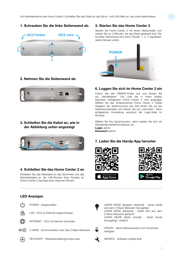

# 2. Nehmen Sie die Seitenwand ab.



# 3. Schließen Sie die Kabel an, wie in der Abbildung unten angezeigt



# 4. Schließen Sie das Home Center 2 an

Schließen Sie das Netzkabel an das Stromnetz und das Netzwerkkabel an die LAN-Buchse Ihres Routers an (Home Center 2 benötigt einen externen Router).

# LED Anzeigen

POWER - eingeschalten







INTERNET - HC2 mit Internet verbunden



Z-WAVE - Kommunikation über das Z-Wave Netzwerk



RECOVERY - Wiederherstellungsmodus aktiv

# 5. Starten Sie das Home Center 2

Starten Sie Home Center 2 mit einem Netzschalter und warten Sie ca. 2 Minuten, bis das Gerät gestartet wird. Die korrekte Verbindung wird durch Dioden 1, 2, 3 signalisiert (siehe Glossar unten).

.<br>DF



# 6. Loggen Sie sich im Home Center 2 ein

Führen Sie den FIBARO-Finder aus und klicken Sie auf "Aktualisieren". Die Liste der in Ihrem lokalen Netzwerk verfügbaren Home Center 2 wird angezeigt. Wählen Sie das entsprechende Home Center 2 mittels Vergleich der Seriennummer (die Zahl finden Sie auf der Gehäuseunterseite) und klicken Sie auf "verbinden". Nach erfolgreicher Anmeldung erscheint die Login-Seite im Browser.

Wählen Sie Ihre Sprachversion, dann melden Sie sich mit Standardanmeldeinformationen an: Login: admin Kennwort: admin

# 7. Laden Sie die Handy-App herunter







LEARN MODE [langsam blinkend] - neues Gerät wird dem Z-Wave Netzwerk hinzugefügt LEARN MODE [blinkend] - Gerät wird aus dem Z-Wave Netzwerk gelöscht LEARN MODE [blinkt schnell] - Gerät wurde

hinzugefügt / entfernt

UPDATE - Neue Softwareversion zum Download verfügbar

SERVICE - Software-Update läuft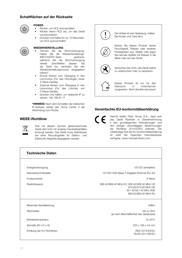# Schaltflächen auf der Rückseite



# POWER

- Klicken, um HC2 einzuschalten
- Klicken (wenn HC2 an), um das Gerät zurückzusetzen
- Drücken und halten für ca. 10 Sekunden, um HC2 auszuschalten



#### WIEDERHERSTELLUNG

- Trennen Sie die Stromversorgung. Halten Sie die Wiederherstellungs-<br>(RECOVERY)-Taste gedrückt. (RECOVERY)-Taste während Sie die Stromversorgung wieder anschließen (lassen Sie die Taste los, nachdem Sie den Wiederherstellungsmodus eingegeben haben)\*.
- Einmal klicken zum Übergang in den Lernmodus (Für das Hinzufügen neuer Z-Wave-Geräte),
- Zweimal klicken zum Übergang in den Lernmodus (Für das Löschen von Z-Wave-Geräte),
- drücken und halten, um statische IP zu setzen: 192.168.81.1\*

\*HINWEIS: Nach dem Einstellen der statischen IP-Adresse verliert das Home Center 2 die Verbindung zum Router.

### WEEE-Richtlinie



Das mit diesem Symbol gekennzeichnete Gerät darf nicht mit anderen Haushaltsabfällen entsorgt werden. Das Gerät muss stattdessen bei einer Recyclingstelle für Elektro- und Elektronik-Altgeräte abgegeben werden.



# Vereinfachte EU-konformitätserklärung

Hiermit erklärt Fibar Group S.A., dass sich  $\epsilon$ das Gerät Radiolan in Übereinstimmung it den grundlegenden Anforderungen und den übrigen einschlägigen Bestimmungen der Richtlinie 2014/53/EU befindet. Der vollständige Text der EU-Konformitätserklärung ist unter der folgenden Internetadresse verfügbar: www.manuals.fibaro.com

| <b>Technische Daten</b>           |                                                                                                                     |  |
|-----------------------------------|---------------------------------------------------------------------------------------------------------------------|--|
|                                   |                                                                                                                     |  |
| Energieversorgung:                | 12V DC (enthalten)                                                                                                  |  |
| Netzwerkschnittstelle:            | 10/100/1000 Base-T (Gigabit) Ethernet (RJ-45)                                                                       |  |
| Funkprotokoll:                    | 7-Wave                                                                                                              |  |
| Radiofrequenz:                    | 868.42/868.40 MHz EU; 908.42/908.40 MHz US<br>919.82/919.80 MHz HK<br>921.42/921.40 MHz ANZ<br>869.02/869.00 MHz RU |  |
| Maximale Sendeleistung:           | 0dBm                                                                                                                |  |
| Reichweite:                       | bis zu 30m<br>(je nach Beschaffenheit des Gebäudes)                                                                 |  |
| Betriebstemperatur:               | $10-40^{\circ}$ C                                                                                                   |  |
| Abmaße ( $W \times D \times H$ ): | 225 x 185 x 44 mm                                                                                                   |  |
| Erfüllung der EU-Richtlinien:     | RFD 2014/53/FU<br>RoHS 2011/65/FU                                                                                   |  |
|                                   |                                                                                                                     |  |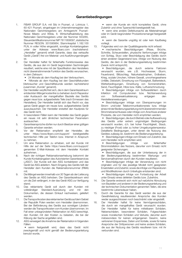### Garantiebedingungen

- 1. FIBAR GROUP S.A. mit Sitz in Poznań, ul. Lotnicza 1, 60-421 Poznań, eingetragen im Unternehmerregister des Nationalen Gerichtsregisters am Amtsgericht Poznań-Nowe Miasto und Wilda, 8. Wirtschaftsabteilung des Nationalen Gerichtsregisters unter der Nummer 553265, Steueridentifikationsnummer NIP 7811858097, statistische Nummer REGON: 301595664, Stammkapital 1.182.100 PLN, in voller Höhe eingezahlt, sonstige Kontaktangaben unter der Adresse www.fibaro.com (nachstehend: "Hersteller" genannt) erteilt Garantie, dass das verkaufte Gerät ("Gerät") frei von Material- und Ausführungsmängeln ist.
- 2. Der Hersteller haftet für fehlerhafte Funktionsweise des Geräts, die aus den im Gerät begründeten Sachmängeln resultiert, welche eine mit der Spezifikation des Herstellers nicht übereinstimmende Funktion des Geräts verursachen, in dem Zeitraum:
	- 24 Monate ab dem Kauftag bei den Verbrauchern,

• 1Monate ab dem Kauftag bei den Geschäftskunden (Verbraucher und Geschäftskunde werden nachstehend zusammen "Kunde" genannt).

- 3. Der Hersteller verpflichtet sich, die in dem Garantiezeitraum entdeckten Mängel kostenfrei zu beheben durch Reparatur oder Austausch der mangelhaften Bauteile des Geräts gegen neue bzw. aufgearbeitete Teile (nach Ermessen des Herstellers). Der Hersteller behält sich das Recht vor, das ganze Gerät gegen ein neues bzw. aufgearbeitetes Gerät auszutauschen. Der Hersteller erstattet den Kaufpreis für das Gerät nicht.
- 4. In besonderen Fällen kann der Hersteller das Gerät gegen ein neues mit sehr ähnlichen technischen Parametern austauschen.
- 5. Garantieansprüche dürfen nur durch Besitzer einer gültigen Garantie erhoben werden.
- 6. Vor der Reklamation empfiehlt der Hersteller, die unter https://www.fibaro.com/support/ bereitgestellte technischen Hilfe per Telefon bzw. Internet in Anspruch zu nehmen.
- 7. Um eine Reklamation zu erheben, soll der Kunde mit Hilfe der auf der Seite https://www.fibaro.com/support/ genannten E-Mail-Adresse mit dem Hersteller Kontakt aufnehmen. .
- 8. Nach der richtigen Reklamationserhebung bekommt der Kunde Kontaktangaben des Autorisierten Garantieservices ("ASG"). Der Kunde soll den ASG kontaktieren und das Gerät bei ASG abliefern. Nach Eingang des Geräts teilt der Hersteller dem Kunden die Reklamationsnummer (RMA) mit.
- 9. Die Mängel werden innerhalb von 30 Tagen ab der Lieferung des Geräts an ASG behoben. Der Garantiezeitraum wird um die Zeit verlängert, in der das Gerät ASG zur Verfügung stand.
- 10. Das reklamierte Gerät soll durch den Kunden mit vollständiger Standard-Ausrüstung und mit den Dokumenten, die dessen Einkauf nachweisen, geliefert werden.
- 11. Die Transportkosten des reklamierten Geräts auf dem Gebiet der Republik Polen werden vom Hersteller übernommen. Bei der Beförderung des Geräts aus sonstigen Ländern werden die Transportkosten vom Kunden übernommen. Im Fall einer unbegründeten Reklamation ist ASG berechtigt, den Kunden mit den Kosten zu belasten, die bei der Klärung der Sache angefallen sind.
- 12. ASG verweigert die Annahme der Reklamation in folgenden Fällen:

• wenn festgestellt wird, dass das Gerät nicht zweckgemäß und nicht gemäß der Bedienungsanleitung benutzt wurde,

• wenn der Kunde ein nicht komplettes Gerät, ohne Zubehör und ohne Typenschild bereitgestellt hat,

• wenn eine andere Defektursache als Materialmangel oder im Gerät begründeter Produktionsmangel festgestellt wird,

• wenn die Garantie ungültig ist oder kein Kaufbeleg vorliegt.

13. Folgendes wird von der Qualitätsgarantie nicht erfasst:

• mechanische Beschädigungen (Risse, Brüche, Schnitte, Scheuerstellen, physische Verformungen infolge von Schlag, Sturz oder Beschädigung des Geräts durch einen anderen Gegenstand bzw. infolge von Nutzung des Geräts, die dem in der Bedienungsanleitung bestimmten Zweck nicht entspricht);

• Beschädigungen, die durch externe Faktoren verursacht wurden, wie z.B. Hochwasser, Sturm, Feuerbrand, Blitzschlag, Naturkatastrophen, Erdbeben, Krieg, soziale Unruhen, höhere Gewalt, unvorhergesehene Unfälle, Diebstahl, Einwirkung von Flüssigkeit, Batterieleck, Wetterbedingungen, Einwirkung von Sonnenstrahlen, Sand, Feuchtigkeit, Hitze bzw. Kälte, Luftverschmutzung;

• Beschädigungen infolge von Softwarefehlern durch Infektion mit Computerviren bzw. Nichtanwendung<br>von Softwareaktualisierung entgegen den von Softwareaktualisierung entgegen den Herstelleranweisungen;

• Beschädigungen infolge von Überspannungen im Strom- und/oder Telekommunikationsnetz bzw. infolge eines mit der Bedienungsanleitung nicht übereinstimmenden Stromnetzanschlusses oder infolge vom Anschluss anderer Produkte, die vom Hersteller nicht empfohlen werden;

• Beschädigungen, die durch Betrieb oder Aufbewahrung des Geräts unter extrem ungünstigen Bedingungen verursacht wurden, d.h. bei hoher Feuchtigkeit, Staub, zu niedriger (Frost) oder zu hoher Umgebungstemperatur. Detaillierte Bedingungen, unter denen die Nutzung des Gerätes zulässig ist, bestimmt die Bedienungsanleitung;

• Beschädigungen infolge vom Einsatz von Zubehör, das vom Hersteller nicht empfohlen wird;<br>• Beschädigungen infolge

• Beschädigungen infolge von fehlerhafter Strominstallation des Nutzers, darunter vom Einsatz nicht geeigneter Sicherungen;

• Beschädigungen, die aus der Unterlassung der in der Bedienungsanleitung bestimmten Wartungs- und Servicemaßnahmen durch den Kunden resultieren;

• Beschädigungen infolge der Verwendung von nicht originalen und für das jeweilige Modell nicht geeigneten Ersatzteilen und Zubehör, sowie die infolge von Reparaturen und Modifikationen durch Unbefugte entstanden sind;

• Beschädigungen infolge von Fortsetzung der Arbeit unter Einsatz eines defekten Geräts bzw. Zubehörs.

- 14. Die Garantie erstreckt sich nicht auf natürliche Abnutzung von Bauteilen und anderen in der Bedienungsanleitung und der technischen Dokumentation genannten Teilen, die eine bestimmte Lebensdauer haben.
- 15. Durch die Garantie für das Gerät werden die aus der Gewährleistung resultierenden Ansprüche des Kunden weder ausgeschlossen noch beschränkt oder eingestellt.
- 16. Der Hersteller haftet für keine Vermögensschäden, die durch ein mangelhaftes Gerät verursacht wurden. Der Hersteller haftet für keine mittelbaren Schäden, Nebenschäden, besonderen Schäden, Folgeschäden sowie moralischen Schäden und Verluste, darunter auch insbesondere für keinen entgangenen Gewinn, keine verlorenen Ersparnisse, Daten und Vorteile, sowie für keine Ansprüche der Drittpersonen und keine andere Schäden, die aus der Nutzung des Geräts resultieren bzw. mit ihr verbunden sind.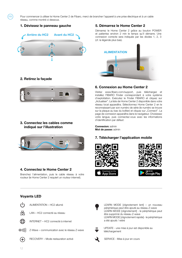Pour commencer à utiliser le Home Center 2 de Fibaro, merci de brancher l'appareil à une prise électrique et à un cable réseau, comme montré ci dessous.

### 1. Dévissez le panneau gauche

.<br>FR



# 2. Retirez la façade



# 3. Connectez les cables comme indiqué sur l'illustration



# 4. Connectez le Home Center 2

Branchez l'alimentation, puis le cable réseau à votre routeur (le Home Center 2 requiert un routeur internet).

# 5. Démarrez le Home Center 2

Démarrez le Home Center 2 grâce au bouton POWER et patientez environ 2 min le temps qu'il démarre. Une connexion correcte sera indiquée par les diodes 1, 2, 3 (cf. la légende plus bas).



# 6. Connexion au Home Center 2

Visitez www.fibaro.com/support, puis téléchargez et installez FIBARO Finder correspondant à votre système d'exploitation. Exécutez le Finder FIBARO et cliquez sur "Actualiser". La liste de Home Center 2 disponible dans votre réseau local apparaîtra. Sélectionnez Home Center 2 en le reconnaissant par son numéro de série (le numéro se trouve sur la plaque au bas du boîtier) et cliquez sur "Connect". La page de connexion apparaîtra dans le navigateur. Choisissez votre langue, puis connectez-vous avec les informations d'identification par défaut:

**Connexion: admin** Mot de passe: admin

# 7. Télécharger l'application mobile







# Voyants LED



ALIMENTATION – HC2 allumé



LAN – HC2 connecté au réseau



INTERNET – HC2 connecté à internet



Z-Wave – communication avec le réseau Z-wave



RECOVERY – Mode restauration activé

LEARN MODE [clignotement lent] – un nouveau périphérique peut être ajouté au réseau Z-wave LEARN MODE [clignotement] - le périphérique peut

être supprimé du réseau Z-wave LEARN MODE [clignotement rapide] - le périphérique a été ajouté / retiré



UPDATE - une mise à jour est disponible au téléchargement



SERVICE - Mise à jour en cours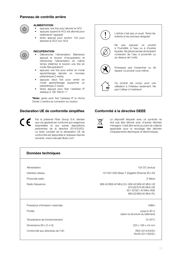### Panneau de contrôle arrière



# ALIMENTATION

- appuyez une fois pour allumer le HC2
- appuyez (quand le HC2 est allumé) pour redémarrer l'appareil
- tenez appuyé pour environ 10s pour éteindre le HC2 turn HC2



#### **RECUPERATION**

- Débranchez l'alimentation. Maintenez appuyé le bouton d'recuperation et rebranchez l'alimentation en même temps (relâchez le bouton une fois en mode Récupération)\*.
- appuyez une fois pour entrer en mode apprentissage (ajouter un nouveau périphérique Z-wave),
- appuyez deux fois pour entrer en mode apprentissage (supprimer un périphérique Z-wave),
- tenez appuyé pour fixer l'adresse IP statique à 192.168.81.1\*

\*Note: après avoir fixé l'adresse IP le Home Center 2 perdra sa connexion au routeur.

### Declaration UE de conformite simplifiee

Par la présente Fibar Group S.A. déclare que cet appareil est conforme aux exigences essentielles et aux autres dispositions pertinentes de la directive 2014/53/EU. Le texte complet de la déclaration UE de conformité est disponible à l'adresse internet suivante: www.manuals.fibaro.com



Ce produit est conçu pour une utilisation à l'intérieur seulement. Ne pas l'utiliser à l'extérieur!

# Conformité à la directive DEEE



Le dispositif étiqueté avec ce symbole ne doit pas être éliminé avec d'autres déchets ménagers. Il doit être remis au point de collecte applicable pour le recyclage des déchets d'équipements électriques et électroniques.

| Données techniques                    |                                                                                                                     |  |
|---------------------------------------|---------------------------------------------------------------------------------------------------------------------|--|
|                                       |                                                                                                                     |  |
| Alimentation:                         | 12V DC (inclus)                                                                                                     |  |
| Interface réseau:                     | 10/100/1000 Base-T (Gigabit) Ethernet (RJ-45)                                                                       |  |
| Protocole radio:                      | 7-Wave                                                                                                              |  |
| Radio fréquence:                      | 868.42/868.40 MHz EU; 908.42/908.40 MHz US<br>919.82/919.80 MHz HK<br>921.42/921.40 MHz ANZ<br>869.02/869.00 MHz RU |  |
| Puissance d'émission maximale:        | $0d$ Bm                                                                                                             |  |
| Portée:                               | jusqu'à 30 m<br>(selon la structure du bâtiment)                                                                    |  |
| Température de fonctionnement:        | 10-40°C                                                                                                             |  |
| Dimensions ( $W \times D \times H$ ): | 225 x 185 x 44 mm                                                                                                   |  |
| Conformité aux directives de l'UE:    | RFD 2014/53/FU<br>RoHS 2011/65/EU                                                                                   |  |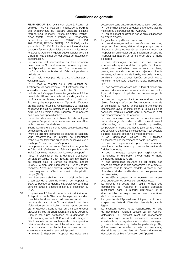### Conditions de garantie

- 1. FIBAR GROUP S.A. ayant son siège à Poznań ul. Lotnicza 1; 60-421 Poznań, immatriculée au Registre des entrepreneurs du Registre Judiciaire National tenu par Sąd Rejonowy [Tribunal de district] Poznań-Nowe Miasto i Wilda à Poznań, VIII Département Économique au numéro : 553265, No TVA 7811858097, REGON [SIRET] : 301595664, capital social de 1 182 100 PLN entièrement libéré, d'autres coordonnées sont disponibles au site www.fibaro.com (ci-après le "Fabricant") garantit que l'appareil vendu (l' "Appareil") est exempt de tout défaut de matériaux et de fabrication.
- 2. Le fabricant est responsable du fonctionnement défectueux de l'Appareil en raison de vices physiques de l'Appareil provoquant son fonctionnement non conforme à la spécification du Fabricant pendant la période de:

• 24 mois à compter de la date d'achat par le consommateur,

• 12 mois à compter de la date d'achat par l'entreprise, (le consommateur et l'entreprise sont ciaprès dénommés collectivement le "Client").

- 3. Le Fabricant s'engage à remédier gratuitement à tout défaut identifié au cours de la période de garantie par la réparation ou le remplacement (à la discrétion du Fabricant) des composants de l'Appareil défectueux par des pièces neuves ou remises à neuf. Le Fabricant se réserve le droit de remplacer tout l'Appareil par un autre, neuf ou remis à neuf. Fabricant ne rembourse pas le prix de l'Appareil acheté.
- 4. Dans des situations particulières, le Fabricant peut remplacer l'Appareil par un autre avec les paramètres techniques les plus similaires.
- 5. Seul le titulaire d'une garantie valide peut présenter des demandes de garantie.
- 6. Avant de faire une demande de garantie, le Fabricant vous recommande de profiter de l'assistance technique par téléphone ou en ligne, accessible sur le site https://www.fibaro.com/support/
- 7. Pour présenter la demande d'activation de garantie, le Client doit s'adresser au Fabricant par le courriel indiqué sur le site https://www.fibaro.com/support/.
- 8. Après la présentation de la demande d'activation de garantie valide, le Client recevra des informations de contact pour le Service de garantie autorisé ("SGA"). Le client doit s'adresser au SGA et y fournir l'Appareil. Après avoir obtenu l'Appareil, le Fabricant communiquera au Client le numéro d'application unique (RMA).
- 9. Les vices seront éliminés dans un délai de 30 jours à compter de la date de livraison de l'Appareil au SGA. La période de garantie est prolongée du temps pendant lequel le dispositif restait à la disposition du SGA.
- 10. L'appareil étant l'objet d'une réclamation doit être mis à disposition par le Client avec l'équipement standard complet et les documents confirmant son achat.
- 11. Les frais de transport de l'Appareil étant l'objet d'une réclamation sur le territoire polonais seront couverts par le Fabricant. Dans le cas du transport d'autres pays, les frais de transport seront à la charge du Client. Dans le cas d'une notification de la demande de réclamation injustifiée, le SGA a le droit de charger le Client des frais concernant l'explication de la question.
- 12. SGA refuse d'accepter une réclamation en cas de: • constatation de l'utilisation abusive et non conforme au mode d'emploi de l'Appareil,
	- mettre à disposition l'Appareil incomplet, sans

accessoires, sans plaque signalétique de la part du Client, • déterminer la cause du défaut autre que le vice de

matériau ou de production de l'Appareil,

• du document de garantie non valable et l'absence de preuve d'achat.

13. La garantie de qualité ne couvre pas:

• des dommages mécaniques (fissures, fractures, coupures, écorchures, déformation physique due à l'impact, la chute ou causée en laissant tomber sur l'Appareil un autre objet ou par l'utilisation abusive de l'Appareil par rapport de celle prévue dans le mode d'emploi);

• des dommages causés par des causes externes telles que: inondation, tempête, feu, foudre, catastrophes naturelles, tremblements de terre, guerre, troubles civils, cas de force majeure, accidents imprévus, vol, versement de liquide, fuite de la batterie, conditions météorologiques; lumière du soleil, sable, humidité, température élevée ou faible, pollution de l'air;

• des dommages causés par un logiciel défectueux en raison d'une attaque de virus ou de ne pas mettre à jour du logiciel, l'opération recommandée par le fabricant;

• des dommages résultant de : surtensions dans le réseau électrique et/ou de télécommunication ou de se connecter au réseau énergétique d'une manière incompatible avec les instructions ou à cause de la connexion d'autres produits dont la connexion n'est pas recommandée par le fabricant;

• des dommages causés par le fonctionnement ou le stockage dans des conditions extrêmement défavorables, soit humidité élevée, poussière, température ambiante trop basse (gel) ou trop haute. Les conditions détaillées dans lesquelles il est possible d'utiliser l'appareil détermine le mode d'emploi;

• les dommages causés par l'utilisation d'accessoires non recommandés par le Fabricant;

• des dommages causés par réseau électrique défectueux de l'utilisateur, y compris l'utilisation de fusibles incorrects;

• des dommages causés par négligence de maintenance et d'entretien prévus dans le mode d'emploi de la part du Client;

• des dommages résultant de l'utilisation des pièces de rechange et des accessoires non originaux, incorrects pour le présent modèle, d'effectuer des réparations et des modifications par des personnes non autorisées;

• les défauts causés par la poursuite des travaux avec un Appareil ou un équipement défectueux.

- 14. La garantie ne couvre pas l'usure normale des composants de l'Appareil et d'autres dispositifs mentionnés dans le manuel d'utilisateur et la documentation technique avec un temps spécifique de fonctionnement.
- 15. La garantie de l'Appareil n'exclut pas, ne limite ni suspend les droits du Client découlant de la garantie légale.
- 16. Le Fabricant décline toute responsabilité en cas de dommages matériels causés par un Appareil défectueux. Le Fabricant n'est pas responsable des dommages indirects, accessoires, spéciaux, consécutifs ou le préjudice moral ni des dommages, y compris mais sans s'y limiter les pertes de profits, d'économies, de données, la perte des prestations, des sinistres par des tiers et d'autres dommages découlant de ou liés à l'utilisation de l'Appareil.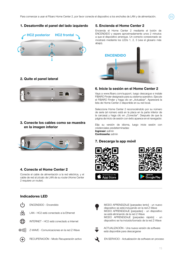# 1. Desatornille el panel del lado izquierdo



# 2. Quite el panel lateral



### 3. Conecte los cables como se muestra en la imagen inferior



### 4. Conecte el Home Center 2

Conecte el cable de alimentación a la red eléctrica, y el cable de red al zócalo de LAN de su router (Home Center 2 requiere un router).

### 5. Encienda el Home Center 2

Encienda el Home Center 2 mediante el botón de ENCENDIDO y espere aproximadamente unos 2 minutos a que el dispositivo arranque. Un correcto conexionado se mostrará mediante los LEDs 1, 2, 3 (vea el glosario más abajo).

ES



# 6. Inicie la sesión en el Home Center 2

Vaya a www.fibaro.com/support, luego descargue e instale FIBARO Finder designado para su sistema operativo. Ejecute el FIBARO Finder y haga clic en "Actualizar". Aparecerá la lista de Home Center 2 disponible en su red local.

Seleccione Home Center 2 reconociéndolo por su número de serie (el número está en la placa en la parte inferior de la carcasa) y haga clic en "Conectar". Después de que la página de inicio de sesión con éxito aparece en el navegador.

Elija su versión de idioma, luego inicie sesión con credenciales predeterminadas: Ingresar: admin Contraseña: admin

### 7. Descarga la app móvil









Indicadores LED

LAN - HC2 está conectado a la Ethernet



INTERNET - HC2 está conectado a Internet



Z-WAVE - Comunicaciones en la red Z-Wave



RECUPERACIÓN - Modo Recuperación activo



MODO APRENDIZAJE [parpadeo lento] - un nuevo dispositivo se está incluyendo en la red Z-Wave MODO APRENDIZAJE [parpadeo] - un dispositivo se está eliminando de la red Z-Wave MODO APRENDIZAJE [parpadeo rápido] - un dispositivo se ha incluido/borrado de la red Z-Wave



ACTUALIZACIÓN - Una nueva versión de software está disponible para descargarse

EN SERVICIO - Actualización de software en proceso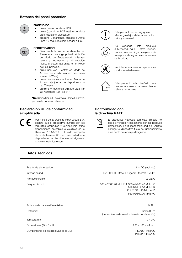### Botones del panel posterior



### ENCENDIDO

- pulse para encender el HC2
- pulse (cuando el HC2 está encendido) para resetear el dispositivo
- presione y mantenga pulsado durante unos 10 segundos para apagar el HC2

#### RECUPERACIÓN

- Desconecte la fuente de alimentación. Presione y mantenga pulsado el botón de Modo de Recuperación mientras vuelve a reconectar la alimentación (suelte el botón tras entrar en el Modo de Recuperación)\*.
- pulse una vez entrar en Modo de Aprendizaje (añadir un nuevo dispositivo a la red Z-Wave),
- pulse dos veces entrar en Modo de Aprendizaje (borrar un dispositivo a la red Z-Wave),
- presione y mantenga pulsado para fijar la IP estática: 192.168.81.1\*

\*Nota: tras fijar la IP estática al Home Center 2, perderá la conexión al router.

# Declaración UE de conformidad simplificada

Por medio de la presente Fibar Group S.A. declara que el dispositivo cumple con los requisitos esenciales y cualesquiera otras disposiciones aplicables o exigibles de la Directiva 2014/53/EU. El texto completo de la declaración UE de conformidad está disponible en la dirección Internet siguiente: www.manuals.fibaro.com



Este producto no es un juguete. Manténgalo lejos del alcance de los niños y animales!



No exponga este producto a humedad, agua u otros líquidos. Nunca coloque ningún recipiente de transporte de agua cerca o encima de la unidad.



No intente examinar o reparar este producto usted mismo.



Este producto está diseñado para uso en interiores solamente. ¡No lo utilice en exteriores!

# Conformidad con la directiva RAEE

El dispositivo marcado con este símbolo no debe eliminarse ni desecharse con los residuos domésticos. Es la responsabilidad del usuario entregar el dispositivo fuera de funcionamiento a un punto de reciclaje designado.

| <b>Datos Técnicos</b>                    |                                                                                                                     |  |
|------------------------------------------|---------------------------------------------------------------------------------------------------------------------|--|
|                                          |                                                                                                                     |  |
| Fuente de alimentación:                  | 12V DC (incluido)                                                                                                   |  |
| Interfaz de red:                         | 10/100/1000 Base-T (Gigabit) Ethernet (RJ-45)                                                                       |  |
| Protocolo Radio:                         | 7-Wave                                                                                                              |  |
| Frequencia radio:                        | 868.42/868.40 MHz EU; 908.42/908.40 MHz US<br>919.82/919.80 MHz HK<br>921.42/921.40 MHz ANZ<br>869.02/869.00 MHz RU |  |
| Potencia de transmisión máxima:          | 0dBm                                                                                                                |  |
| Distancia:                               | hasta 30 m<br>(dependiendo de la estructura de construcción)                                                        |  |
| Temperatura:                             | $10-40^{\circ}$ C                                                                                                   |  |
| Dimensiones (W x D x H):                 | 225 x 185 x 44 mm                                                                                                   |  |
| Cumplimiento de las directivas de la UE: | RFD 2014/53/FU<br>RoHS 2011/65/FU                                                                                   |  |

16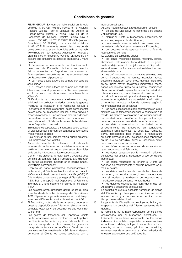### Condiciones de garantía

- 1. FIBAR GROUP SA con domicilio social en la calle Lotnicza 1, 60-421 Poznan, inscrita en el Nacional Registro Judicial por el Juzgado de Distrito de Poznań-Nowe Miasto y Wilda, Sala 8a de lo Económico del Nacional Registro Judicial bajo el número: 553 265, CIF 7811858097, REGON [Número Estadístico]: 301595664, con el capital social de 1.182.100 PLN, totalmente desembolsado, los demás datos de contacto están disponibles en la página web: www.fibaro.com (en adelante "Fabricante") otorga la garantía para el dispositivo vendido ("Dispositivo") y declara que está libre de defectos en material y mano de obra.
- 2. El Fabricante es responsable del funcionamiento defectuoso del Dispositivo debido a los defectos físicos inherentes al Dispositivo que causen su funcionamiento no conforme con las especificaciones del Fabricante en el periodo de:

• 24 meses desde la fecha de compra por parte del consumidor,

• 12 meses desde la fecha de compra por parte del Cliente empresarial (consumidor y Cliente empresarial en lo sucesivo se denominan conjuntamente el Cliente")

- 3. El Fabricante se compromete a eliminar sin cargo adicional, los defectos revelados durante la garantía mediante la reparación o el reemplazo (según el Fabricante lo considera oportuno) de los componentes defectuosos del Dispositivo por las piezas nuevas o reacondicionadas. El Fabricante se reserva el derecho de sustituir todo el Dispositivo por uno nuevo o reacondicionado. El Fabricante no reembolsa el dinero por el Dispositivo comprado.
- 4. En situaciones especiales, el Fabricante podrá sustituir el Dispositivo por otro con los parámetros técnicos lo más similares posibles.
- 5. Sólo el titular de una garantía válida puede presentar una reclamación de Garantía.
- 6. Antes de presentar la reclamación, el Fabricante recomienda contactarse con la asistencia técnica por teléfono o por Internet cuyos datos están disponibles en la página https://www.fibaro.com/support/.
- 7. Con el fin de presentar la reclamación, el Cliente debe ponerse en contacto con el Fabricante a la dirección de correo electrónico indicada en la página https:// www.fibaro.com/support/.
- 8. Después de haber presentado adecuadamente la reclamación, el Cliente recibirá los datos de contacto al Centro autorizado de servicio de garantía ("ASG"). El Cliente debe contactarse y entregar el Dispositivo a la ASG. Tras la recepción del Dispositivo, el Fabricante informará al Cliente sobre el número de la notificación (RMA).
- 9. Los defectos serán eliminados dentro de los 30 días, a contar desde la fecha de entrega del Dispositivo al ASG. El periodo de garantía se extiende por el tiempo en el que el Dispositivo esté a disposición del ASG.
- 10. El Dispositivo, objeto de la reclamación, debe estar puesto a disposición por el Cliente con el equipamiento completo estándar y los documentos que confirman su compra.
- 11. Los gastos de transporte del Dispositivo, objeto de la reclamación, en el territorio de la República de Polonia serán cubiertos por el Fabricante. En el caso de transporte de otros países, los gastos de transporte serán a cargo del Cliente. En el caso de una reclamación injustificada, ASG tiene el derecho de cobrar al Cliente los gastos asociados con la

aclaración del caso.

- 12. ASG se niega a aceptar la reclamación en el caso:
	- del uso del Dispositivo no conforme a su destino y al manual de uso,

• facilitar el Cliente, el Dispositivos incompleto, sin accesorios, sin placa de identificación,

• determinar la causa del defecto que no sea defecto de material o de fabricación inherente al Dispositivo,

• del documento de garantía inválido o falta de justificante de compra.

13. La Garantía de calidad no cubre:

• los daños mecánicos (grietas, fracturas, cortes, abrasiones, deformación física debido a un golpe, caída o dejar caer otro objeto sobre el Dispositivo sobre el uso no conforme a su destino determinado en el manual de uso);

• los daños ocasionados por causas externas, tales como: inundaciones, tormentas, incendios, rayos, desastres naturales, terremotos, guerras, disturbios civiles, fuerza mayor, accidentes imprevistos, robos, daños por líquidos, fugas de la batería, condiciones climáticas; acción de rayos soles, arena, humedad, alta o baja temperatura, contaminación atmosférica;

• el daño ocasionado por el software que funcione incorrectamente, debido al ataque del virus informático, o no utilizar la actualización de software según lo recomendado por el Fabricante;

• los daños ocasionados por: sobrecargas en la red eléctrica y/o de telecomunicaciones o conectarse a la red de una manera no conforme a las instrucciones de uso o debido a la conexión de otros productos cuya conexión no está recomendada por el Fabricante;

• los daño ocasionados por el trabajo o el almacenamiento del Dispositivo en condiciones extremadamente adversas, es decir, alta humedad, polvo, temperatura baja (helada) o temperatura ambiente demasiado alta. Las condiciones específicas en las que es admisible utilizar el Dispositivo están determinas en el manual de uso;

• los daños causados por el uso de accesorios no recomendados por el Fabricante;

• los daños causados por la instalación eléctrica defectuosa del usuario, incluyendo el uso de fusibles incorrectos;

• los daños resultantes de ignorar el Cliente las acciones de mantenimiento y servicio previstos en el manual de uso;

• los daños resultantes del uso de las piezas de repuesto y accesorios no-originales, inadecuados para el modelo, la realización de reparaciones y modificaciones por personas no autorizadas;

• los defectos causados por continuar el uso del Dispositivo o accesorios defectuosos.

- 14. La garantía no cubre el desgaste normal de las piezas del Dispositivo y otras piezas mencionadas en el manual de uso y la documentación técnica con un tiempo de uso determinado.
- 15. La garantía del Dispositivo no excluye, no limita y no suspende los derechos del Cliente resultantes de la garantía.
- 16. El Fabricante no se hace responsable de los daños ocasionados por el Dispositivo defectuoso. El Fabricante no se hace responsable de los daños indirectos, incidentales, especiales, consecuenciales o punitivos, o daños, incluyendo entre otros el lucro cesante, ahorros, datos, pérdida de beneficios, reclamaciones de terceros u otros daños derivados de o relacionados con el uso de Dispositivo.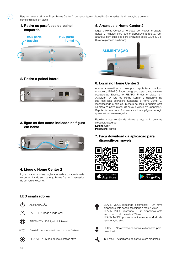Para começar a utilizar o Fibaro Home Center 2, por favor ligue o dispositivo às tomadas de alimentação e de rede como indicado em baixo.

# 1. Retire os parafusos do painel esquerdo

PT



# 2. Retire o painel lateral



# 3. ligue os fios como indicado na figura em baixo



### 4. Ligue o Home Center 2

Ligue o cabo de alimentação à tomada e o cabo de rede na porta LAN do seu router (o Home Center 2 necessita de um router externo).

# 5. Arranque o Home Center 2

Ligue o Home Center 2 no botão de "Power" e espere aprox. 2 minutos para que o dispositivo arranque. Um arranque bem-sucedido será sinalizado pelos LED's 1, 2 e 3 (ver o glossário em baixo).



### 6. Login no Home Center 2

Acesse a www.fibaro.com/support, depois faça download e instale o FIBARO Finder designado para o seu sistema operacional. Execute o FIBARO Finder e clique em "Atualizar". A lista de Home Center 2 disponível na sua rede local aparecerá. Selecione o Home Center 2, reconhecendo-o pelo seu número de série (o número está na placa na parte inferior da caixa) e clique em "Conectar". Depois de uma conexão bem sucedida a página de login aparecerá no seu navegador.

Escolha a sua versão de idioma e faça login com as credenciais padrão:

Login: admin Password: admin

7. Faça download da aplicação para dispositivos móveis.











LAN - HC2 ligado à rede local INTERNET - HC2 ligado à Internet



Z-WAVE - comunicação com a rede Z-Wave



RECOVERY - Modo de recuperação ativo

LEARN MODE [piscando lentamente] – um novo dispositivo está sendo associado à rede Z-Wave LEARN MODE [piscando] – um dispositivo está sendo removido da rede Z-Wave LEARN MODE [piscando rapidamente] – Modo de recuperação ativo



UPDATE - Nova versão de software disponível para download.

SERVICE - Atualização de software em progresso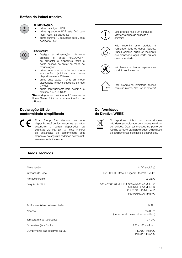# Botões do Painel traseiro



# ALIMENTAÇÃO

- prima para ligar o HC2
- prima (quando o HC2 está ON) para fazer "reset" ao dispositivo
- prima durante 10 segundos aprox. para desligar o HC2



#### **RECOVERY**

- Desligue a alimentação. Mantenha premido o botão "RECOVERY" ao alimentar o dispositivo (solte o botão despois de entrar no modo de recuperação)\*.
- prima uma vez entra em modo associação (adiciona um novo dispositivo à rede Z-Wave)
- prima duas vezes entra em modo dissociação (remove dispositivo da rede Z-Wave)
- prima continuamente para definir o ip estático: 192.168.81.1\*

\*Note: depois de definido o IP estático, o Home Center 2 irá perder comunicação com o Router.

# Declaração UE de conformidade simplificada

Fibar Group S.A. declara que este dispostivo está conforme com os requisitos essenciais e outras disposições da Directiva 2014/53/EU. O texto integral da declaração de conformidade está disponível no seguinte endereço de Internet: www.manuals.fibaro.com



Este produto não é um brinquedo. Mantenha longe de crianças e animais!



Não exponha este produto a humidade, água ou outros líquidos. Nunca coloque qualquer recipiente que transporte água perto ou em cima da unidade.



Não tente examinar ou reparar este produto você mesmo.



Este produto foi projetado apenas para uso interno. Não use no exterior!

# Conformidade da Diretiva WEEE



O dispositivo rotulado com este símbolo não deve ser colocado com outros resíduos domésticos. Deve ser entregue no ponto de recolha aplicável para a reciclagem de resíduos de equipamentos eléctricos e electrónicos.

| Dados Técnicos                    |                                                                                                                     |  |
|-----------------------------------|---------------------------------------------------------------------------------------------------------------------|--|
|                                   |                                                                                                                     |  |
| Alimentação:                      | 12V DC (incluída)                                                                                                   |  |
| Interface de Rede:                | 10/100/1000 Base-T (Gigabit) Ethernet (RJ-45)                                                                       |  |
| Protocolo Rádio:                  | 7-Wave                                                                                                              |  |
| Frequência Rádio:                 | 868.42/868.40 MHz EU; 908.42/908.40 MHz US<br>919.82/919.80 MHz HK<br>921.42/921.40 MHz ANZ<br>869.02/869.00 MHz RU |  |
| Potência máxima de transmissão:   | $0d$ Bm                                                                                                             |  |
| Alcance:                          | até 30 m<br>(dependendo da estrutura do edifício)                                                                   |  |
| Temperatura de Operação:          | $10-40^{\circ}$ C                                                                                                   |  |
| Dimensões (W x D x H):            | 225 x 185 x 44 mm                                                                                                   |  |
| Cumprimento das directivas da UE: | RFD 2014/53/FU<br>RoHS 2011/65/FU                                                                                   |  |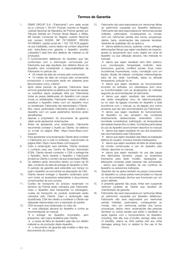# Termos de Garantia

- 1. FIBAR GROUP S.A. ("Fabricante") com sede social na ul. Lotnicza 1, 60-421 Poznań, inscrita no Registo Judicial Nacional da República de Polónia gerado por Tribunal Distrital em Poznań Nowe Miasto e Wilda, XIII Divisão Comercial do Registo Judicial Nacional sob número 553265, NIF 7811858097, REGON 301595664, capital social de 1 182 100 PLN pagado na sua totalidade, outros dados de contato disponível sob: www.fibaro.com garante o Aparelho vendido ("Aparelho") está livre dos defeitos de material ou de produção).
- 2. O funcionamento defeituoso do Aparelho que não conformará com a informação comunicada por Fabricante que seja resultado dos defeitos físicos do Aparelho será considerado a responsabilidade de Fabricante no período de:
	- 24 meses da data de compra pelo consumidor,

• 12 meses da data de compra pelo comerciante (consumidor e comerciante serão em adelante junto denominados como "Cliente".

- 3. Após deste período de garantia, Fabricante deve remover gratuitamente os defeitos por meios de reparar ou substituir (após avaliação feita por Fabricante) todas as peças defeituosas do Aparelho com peças novas ou revitalizadas. Fabricante reserva o direito a substituir o Aparelho inteiro com um Aparelho novo ou revitalizado. Fabricante não reembolsará o Cliente.
- 4. Nos casos particulares Fabricante pode substituir o Aparelho com um quais parámetros técnicos serão semelhantes.
- 5. Apenas o proprietário do documento da garantia válido pode apresentar reclamações.
- 6. Antes de apresentar uma reclamação, Fabricante recomenda contatar o Auxilio ao Cliente, via telefono ou e-mail na página Web: https://www.fibaro.com/ support.
- 7. Para apresentar uma reclamação Cliente deve contatar o Fabricante por e-mail no endereço mencionado na página Web: https://www.fibaro.com/support.
- 8. Caso a reclamação será admitida, Cliente receberá o contacto para seu Centro de Serviço Autorizado (CSA). Cliente deverá contactar o CSA e entrega-lhe o Aparelho. Após receber o Aparelho o Fabricante enviará ao Cliente o número da sua reclamação (RMA).
- 9. Os defeitos serão removidos dentro um prazo de 30 dias, contando da data de entrega do Aparelho a CSA. O período da garantia será estendido por tempo no qual o Aparelho se encontrará na disposição de CSA.
- 10. Cliente deverá entregar o Aparelho reclamado junto com todos os acessórios estandartes e documentos comprovantes da sua compra.
- 11. Custes de transporte do produto reclamado no territorio da Polónia serão cobrados pelo Fabricante. Caso o Aparelho será transportdo no estrangeiro, custes de transporte do produto reclamado serão cobrados pelo Cliente. Caso a reclamação seja injustificada, CSA tem direito a condenar o Cliente nas despesas relacionadas com a resolução do pedido
- 12. CSA recusará uma reclamação no caso de:
	- uma utilização abusiva do Aparelho e contra as recomendações do manual,

• a entrega do Aparelho incompleto, sem acessórios, sem placa sinalética pelo Cliente,

• a causa da falha do Aparelho seja não por defeito material ou da produção deste Aparelho,

• o documento da garantia seja inválido e falta dos documentos da compra.

13. Fabricante não será responsável por nenhumas falhas ao património causadas por Aparelho defeituoso. Fabricante não será responsável por nenhumas perdas indiretas, particulares, consequentes ou morais, nem por nenhumas perdas dos lucros, poupanças, dados, bens, reclamações das pessoas terceiras. Garantia de qualidade não se aplica a:

• danos estéticos (riscos, quebras, cortes, esfregos, deformações físicas que sejam resultados de impacto, queda ou lançamento dum outro objeto em cima do Aparelho ou sua utilização abusiva, não indicada no manual);

• danos que sejam resultado dum fator externo, p.ex.: inundacação, tempestade, incêndio, raios, terremotos, guerras, conflitos sociais, força maior, occorências imprevisíveis, roubo, inundação com um líquido, efusão de bateria, condições meteorológicas; raios de sol, areia, humidade, baixa ou elevada temperatura, polução do ar;

• danos que sejam resultado do funcionamento incorreto do software, um ciberataque dum vírus, ou inconformidade com as atualizações do software segundo as recomendações do fabricante;

• danos que sejam resultado das sobretensões nas redes energéticas e/ou de telecomunicação, ou no caso da ligação incorreta do Aparelho à rede inconforme com o manual, ou da ligação dos outros produtos que não são recomendados por Fabricante;

• danos que sejam resultado do funcionamento do Aparelho ou seu armazém nas condições drasticamente desfavoráveis, entendidos como: humidade considerável, polinização, as temperaturas demasiado baixas (frio) ou altas. Condições particulares do uso do Aparelho se encontram descritos no manual;

• danos que sejam resultado do uso dos acessórios não recomendados pelo Fabricante;

• danos que sejam resultado das faltas na instalação elétrica do usuário, inclusive fusíveis inadequados;

• danos que sejam resultado da falta de observação da correta conservação e uso do Aparelho pelo Cliente, descritos no manual;

• danos que sejam resultado do uso das peças dos fabricantes terceiros, peças ou acessórios impróprios para dado modelo, reparações ou alterações condutas pelas pessoas não autorizadas; - danos que sejam resultado do uso continuo do Aparelho ou acessórios ineficazes.

- 14. Garantia não se aplica também às peças consumíveis do Aparelho ou outras partes mencionadas no manual ou na documentação técnica que funcionam por um prazo definido.
- 15. A presente garantia não anula, limita nem suspende nenhuns poderes de Cliente que resultam do chamamento de garantia.
- 16. Fabricante não será responsável por nenhumas falhas ao património causadas por Aparelho defeituoso. Fabricante não será responsável por nenhumas perdas indiretas, particulares, consequentes ou morais, nem por nenhumas perdas dos lucros, poupanças, dados, bens, reclamações das pessoas terceiras ou outras perdas que serão o resultado ou serão ligados com o funcionamento do Aparelho. including, inter alia, loss of profits, savings, data, loss of benefits, claims by third parties and any other damages arising from or related to the use of the Device.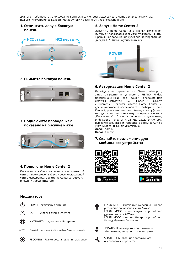Для того чтобы начать использование контроллерa системы модель: Fibaro Home Center 2, пожалуйста, подключите устройство к электрическому току и розетке LAN, как показано ниже.

# **1. Отвинтить левую боковую панель**



### **2. Снимите боковую панель**



### **3. Подключите провода, как показано на рисунке ниже**



### **4. Подключи Home Center 2**

Подключите кабель питания к электрической сети, а также сетевой кабель к розетке локальной сети в маршрутизаторе (Home Center 2 требуется внешний маршрутизатор).

### **Индикаторы**

POWER - включения питания



LAN - HC2 подключен к Ethernet



ИНТЕРНЕТ - подключен к Интернету



Z-WAVE - communication within Z-Wave network



RECOVERY - Режим восстановления активный

# **5. Запуск Home Center 2**

Запустить Home Center 2 с кнопки включения питания и подождать около 2 минуты чтобы начать. Правильное соединение будет сигнализированное диодам 1, 2, 3 (можно увидеть ниже).

RU



### **6. Авторизация Home Center 2**

Перейдите на страницу www.fibaro.com/support, затем загрузите и установите FIBARO Finder, предназначенный для вашей операционной системы. Запустите FIBARO Finder и нажмите «Обновить». Появится список Home Center 2, доступных в вашей локальной сети. Выберите Home Center 2, узнав его по его серийному номеру (номер находится на пластине внизу корпуса) и нажмите "Подключить". После успешного подключения, в браузере появится страница входа в систему. Выберите свой язык интерфейса, а затем войдите с учётными данными по умолчанию: **Логин:** admin

**Пароль:** admin

# **7. Скачайте приложение для мобильного устройства**







LEARN MODE- мигающий медленно - новое устройство добавлено к сети Z-Wave LEARN MODE - мигающим - устройство удалено из сети Z-Wave LEARN MODE - мигает быстро - устройство было добавлено / удалено



UPDATE - Новая версия программного обеспечения, доступного для загрузки



SERVICE - Обновление программного обеспечения в процессе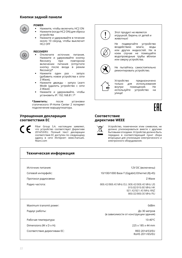### **Кнопки задней панели**



# POWER

- Нажмите, чтобы включить HC2 ON
- Нажмите (когда HC2 ON) для сброса устройства
- Нажмите и удерживайте в течение около 10 секунд, чтобы выключит HC2 OFF

#### RECOVERY

- Отключите источник питания. Нажмите и удерживайте кнопку<br>Recovery и при повторном повторном включении питания (отпустите кнопку после входа в режим Recovery)\*
- Нажмите один раз запуск (добавить новое устройства к сети Z-Wave),
- Нажмите дважды запуск Learn Mode (удалить устройство с сети Z-Wave)
- Нажмите и удерживайте, чтобы установить IP: 192.168.81.1\*

**\*Заметить:** после установки статического IP-Home Center 2 потеряет подключение маршрутизатора.

### **Упрощенная декларация соответствия ЕС**

Fibar Group S.A. настоящим заявляет, что устройство соответствует Директиве 2014/53/EU. Полный текст декларации соответствия ЕС доступен по следующему адресу в сети Интернет: www.manuals. fibaro.com



Этот продукт не является игрушкой. Беречь от детей и животных!

Не подвергайте устройство<br>воздействию влаги. воды воздействию влаги, или других жидкостей. Ни в коем случае не помещайте водопроводные трубы вблизи или сверху устройства.



Не пытайтесь самостоятельно ремонтировать устройство.



Устройство предназначено только для использования<br>внутри помещений. Не .<br>те устройство на "<br>те устройство на используйте устройство улице!



### **Соответствие директиве WEEE**



Устройство, помеченное этим символом, не должно утилизироваться вместе с другими бытовыми отходами. Устройство должно быть передано в соответствующий пункт сбора вторсырья для утилизации электрического и электронного оборудования.

| Техническая информация      |                                                                                                                     |  |
|-----------------------------|---------------------------------------------------------------------------------------------------------------------|--|
|                             |                                                                                                                     |  |
| Источник питания:           | 12V DC (включены)                                                                                                   |  |
| Сетевой интерфейс:          | 10/100/1000 Base-T (Gigabit) Ethernet (RJ-45)                                                                       |  |
| Протокол радиосвязи:        | Z-Wave                                                                                                              |  |
| Радио частота:              | 868.42/868.40 MHz EU; 908.42/908.40 MHz US<br>919.82/919.80 MHz HK<br>921.42/921.40 MHz ANZ<br>869.02/869.00 MHz RU |  |
| Maximum transmit power:     | 0dBm                                                                                                                |  |
| Радиус работы:              | До 30 метров<br>(в зависимости от конструкции здания)                                                               |  |
| Рабочая температура:        | 10-40°C                                                                                                             |  |
| Dimensions (W x D x H):     | 225 x 185 x 44 mm                                                                                                   |  |
| Соответствие директивам ЕС: | RED 2014/53/EU                                                                                                      |  |

RoHS 2011/65/EU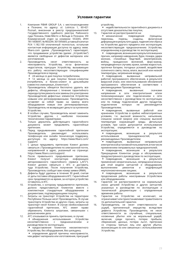- 1. Компания FIBAR GROUP S.A. с местонахождением в Познани, по адресу: ul. Lotnicza 1, 60-421 Poznań, внесенная в реестр предпринимателей Государственного судебного реестра Районного суда Познань Нове-Място и Вильда в Познани, VIII Коммерческий отдел за номером: 553265, ИНН 7811858097, № REGON: 301595664, уставный капитал PLN 1.182.100 оплаченный полностью, остальная контактная информация доступна по адресу: www. fibaro.com (далее "Производитель") гарантирует, что продаваемое устройство (далее: "Устройство") является свободным от дефектов материала или изготовления.<br>Производитель
- 2. Производитель несет ответственность за неисправность Устройства, из-за физических недостатков, присущих Устройству, вызывающих его работу несоответствующую спецификациям Производителя в период:
	- 24 месяца со дня покупки потребителем,

• 12 месяца со дня покупки бизнес-клиентом (потребитель и бизнес-клиент в дальнейшем совместно именуемые "Клиентом").

- 3. Производитель обязуется бесплатно удалить все дефекты, обнаруженные с течение гарантийного периода путем ремонта или замены (по усмотрению Производителя) дефектных элементов Устройства новыми или регенерированными. Производитель оставляет за собой право на замену всего<br>оборудования новым или регенерированным. Производитель не возвращает деньги за купленное Устройство.
- 4. В особых случаях, Производитель может заменить Устройство другим, с наиболее похожими техническими параметрами.
- 5. Только держатель действующего гарантийного документа может предъявлять гарантийные претензии.
- 6. Перед предъявлением гарантийной претензии Производитель рекомендует использовать телефонную или онлайн техническую поддержку, доступную по адресу: https://www.fibaro.com/ support/.
- 7. С целью предъявить претензию Клиент должен связаться с Производителем по электронной почте, направленной в адрес, указанный на странице: https://www.fibaro.com/support/.
- 8. После правильного предъявления претензии, Клиент получит контактную информацию авторизованного гарантийного сервиса ("АГС"). Клиент должен связаться с АГС и доставить туда Устройство. После получения Устройства, Производитель сообщит вам номер заявки (RMA).
- 9. Дефекты будут удалены в течение 30 дней, считая от даты поставки оборудования в АГС. Гарантийный срок продлевается на время, за которое устройство оставалось в АГС.
- 10. Устройство, к которому предъявляется претензия, должно предоставиться Клиентом вместе с комплектным стандартным оборудованием и документами, подтверждающими покупку.
- 11. Затраты на транспорт Устройства на территории Республики Польша несет Производитель. В случае транспорта Устройства из других стран, затраты на транспорт несет Клиент. В случае необоснованной гарантийной претензии, АГС имеет право обременить Клиента затратами, связанными с разъяснением дела.
- 12. АГС отказывается принять претензию, в случае: • обнаружения использования Устройства с прелназначением и руководством по эксплуатации,

• предоставления Клиентом некомплектного Устройства, без оборудования, без шильдика,

• определения другой причины неисправности, чем дефект материала или изготовления, присущий устройству,

• недействительности гарантийного документа и отсутствия доказательства покупки,

13. Гарантия не распространяется на:<br>• механические повреждения

• механические повреждения (трещины, переломы, порезы, ссадины, деформация в результате удара, падения или сброса на Устройство другого предмета или эксплуатация, несоответствующая предназначению Устройства, определенному в руководстве по эксплуатации);

• повреждения, возникшие в результате внешних причин, например наводнения, бури, пожара, удара молнии, стихийных бедствий, землетрясения, войны, гражданских волнений, форс-мажор, непредвиденных случаев, кражи, залива жидкостью, протечки батареи, погодных условий, воздействия солнечного света, песка, влаги, высокой или низкой температуры, загрязнения воздуха;

• повреждения, вызванные неправильной работой программного обеспечения, в результате вирусной атаки, или неиспользование обновлений программного обеспечения в соответствии с рекомендациями Производителя;

• повреждения, вызванные: скачками напряжения в сети электропитания и/или телекоммуникации или подключением к сети несоответственно с руководством по эксплуатации или по поводу подключения других продуктов, которых не Производителем;

• повреждения, вызванные работой или хранением Устройства в крайне неблагоприятных условиях, т.е. высокой влажности, напыления, слишком низкой (мороз) или слишком высокой температуре окружающей среды. Детальные условия, при каких допускается использование Устройства, определяются в руководстве по эксплуатации;

• повреждения, возникшие в результате<br>использования — принадлежностей — не принадлежностей. Яне рекомендуемых Производителем;

• повреждения, вызванные неправильной электрической установкой пользователя, в том числе применением неправильных предохранителей;

• повреждения, возникшие в результате Прекращения Клиентом ухода и обслуживания, предусмотренного руководством по эксплуатации;

• повреждения, возникшие в результате применения неоригинальных, непредназначенных для этой модели запчастей и оборудования, выполнением ремонтов и модификаций неуполномоченными лицами;

• повреждения, возникшие в результате продолжения работы неисправным Устройством или оборудованием.

- 14. Гарантия не распространяется на нормальный износ деталей Устройства и других запчастей, указанных в руководстве по эксплуатации и технической документации с определенным временем работы.
- 15. Гарантия на Устройство не исключает, не ограничивает или приостанавливает права Клиента по дополнительной гарантии.
- 16. Производитель не несет ответственности за ущерб, причиненный имуществу вследствие дефекта Устройства. Производитель не несет ответственности за случайные, специальные, косвенные убытки или за моральный ущерб, включая, среди прочего, потерю прибыли, сбережений, данных, потерю льгот, претензии со стороны третьих лиц или другие убытки, возникающие из или связанные с использованием Устройства.